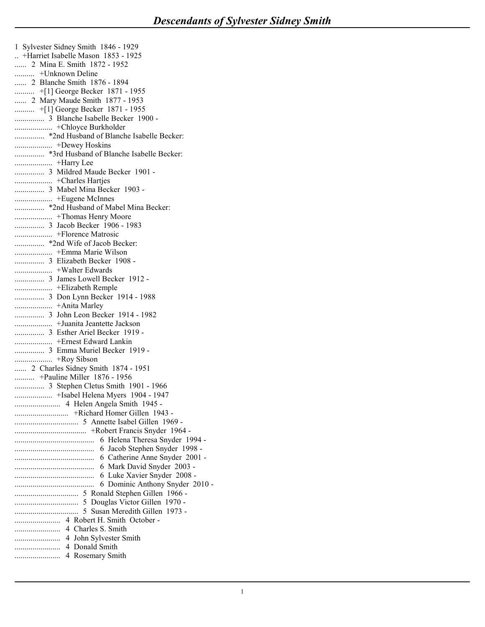1 Sylvester Sidney Smith 1846 - 1929 **Descendants of Sylvester Sides**<br>
1 Sylvester Sidney Smith 1846 - 1929<br>
... +Harriet Isabelle Mason 1853 - 1925<br>
....... 2 Mina E. Smith 1872 - 1952<br>
.......... 2 Blanche Smith 1876 - 1894<br>
.......... 2 Mary Maude Smith 18 **Descendants of Sylvester Sidn**<br>
1 Sylvester Sidney Smith 1846 - 1929<br>
... +Harriet Isabelle Mason 1853 - 1925<br>
...... 2 Mina E. Smith 1872 - 1952<br>
......... +Unknown Deline<br>
........ 2 Blanche Smith 1876 - 1894<br>
......... **Descendants of Sylvester Sidney**<br>
1 Sylvester Sidney Smith 1846 - 1929<br>
... +Harriet Isabelle Mason 1853 - 1925<br>
....... 2 Mina E. Smith 1872 - 1952<br>
.......... +Unknown Deline<br>
........ 2 Blanche Smith 1876 - 1894<br>
..... ...... 2 Blanche Smith 1876 - 1894 **Descendants of Sylvester Sidney**<br>
1 Sylvester Sidney Smith 1846 - 1929<br>
... +Harriet Isabelle Mason 1853 - 1925<br>
......... 2 Mina E. Smith 1872 - 1952<br>
.......... +Unknown Deline<br>
....... 2 Hanche Smith 1876 - 1894<br>
..... ...... 2 Mary Maude Smith 1877 - 1953 .......... +[1] George Becker 1871 - 1955 ............... 3 Blanche Isabelle Becker 1900 - ................... +Chloyce Burkholder ............... \*2nd Husband of Blanche Isabelle Becker: ................... +Dewey Hoskins ............... \*3rd Husband of Blanche Isabelle Becker: ................... +Harry Lee ............... 3 Mildred Maude Becker 1901 - ................... +Charles Hartjes ............... 3 Mabel Mina Becker 1903 - ................... +Eugene McInnes ............... \*2nd Husband of Mabel Mina Becker: ................... +Thomas Henry Moore ............... 3 Jacob Becker 1906 - 1983 ................... +Florence Matrosic ............... \*2nd Wife of Jacob Becker: ................... +Emma Marie Wilson ............... 3 Elizabeth Becker 1908 - ................... +Walter Edwards ............... 3 James Lowell Becker 1912 - ................... +Elizabeth Remple ............... 3 Don Lynn Becker 1914 - 1988 ................... +Anita Marley ............... 3 John Leon Becker 1914 - 1982 3 Blancella Basselle Becker<br>
"And Mushard of Blanche Isabelle Becker:<br>
"And Husband of Blanche Isabelle Becker:<br>
"There were Hostins"<br>
"Harry Lee<br>
"Midred Maude Becker 1901 -<br>
"Then the Basselle Mushard"<br>
"The Husband of M ............... 3 Esther Ariel Becker 1919 - "Thussand of Bianche Isabelle Becker:<br>
"The Husband of Blanche Isabelle Becker:<br>
"Tharp I ce<br>
"Tharp I ce<br>
"Tharp I ce<br>
"Tharp I ce<br>
"Tharp I ce<br>
"Tharp I ce<br>
"Tharp I ce<br>
"Thomas Henry Moore"<br>
"Thomas Henry Moore"<br>
"Thom ............... 3 Emma Muriel Becker 1919 - ................... +Roy Sibson ...... 2 Charles Sidney Smith 1874 - 1951 .......... +Pauline Miller 1876 - 1956 ............... 3 Stephen Cletus Smith 1901 - 1966 ................... +Isabel Helena Myers 1904 - 1947 ....................... 4 Helen Angela Smith 1945 - ........................... +Richard Homer Gillen 1943 - ................................ 5 Annette Isabel Gillen 1969 - .................................... +Robert Francis Snyder 1964 - ........................................ 6 Helena Theresa Snyder 1994 - ........................................ 6 Jacob Stephen Snyder 1998 - ........................................ 6 Catherine Anne Snyder 2001 - ........................................ 6 Mark David Snyder 2003 - ........................................ 6 Luke Xavier Snyder 2008 - ........................................ 6 Dominic Anthony Snyder 2010 - ................................ 5 Ronald Stephen Gillen 1966 - ................................ 5 Douglas Victor Gillen 1970 - ................................ 5 Susan Meredith Gillen 1973 - ....................... 4 Robert H. Smith October - ....................... 4 Charles S. Smith ....................... 4 John Sylvester Smith ....................... 4 Donald Smith ....................... 4 Rosemary Smith